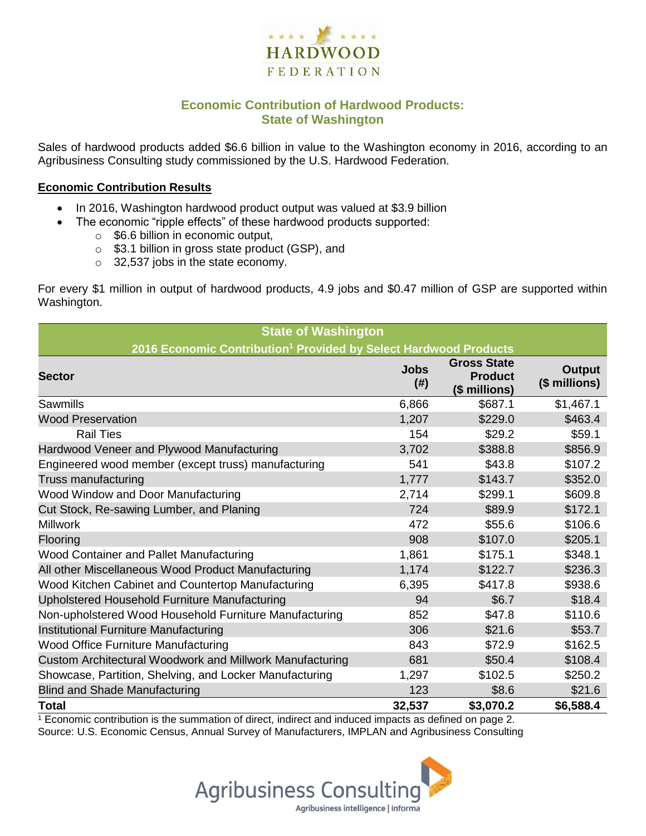

## **Economic Contribution of Hardwood Products: State of Washington**

Sales of hardwood products added \$6.6 billion in value to the Washington economy in 2016, according to an Agribusiness Consulting study commissioned by the U.S. Hardwood Federation.

#### **Economic Contribution Results**

- In 2016, Washington hardwood product output was valued at \$3.9 billion
	- The economic "ripple effects" of these hardwood products supported:
		- o \$6.6 billion in economic output,
		- o \$3.1 billion in gross state product (GSP), and
		- o 32,537 jobs in the state economy.

For every \$1 million in output of hardwood products, 4.9 jobs and \$0.47 million of GSP are supported within Washington.

| <b>State of Washington</b>                               |                                                                              |                                                       |                                |  |  |  |  |
|----------------------------------------------------------|------------------------------------------------------------------------------|-------------------------------------------------------|--------------------------------|--|--|--|--|
|                                                          | 2016 Economic Contribution <sup>1</sup> Provided by Select Hardwood Products |                                                       |                                |  |  |  |  |
| <b>Sector</b>                                            | <b>Jobs</b><br>(# )                                                          | <b>Gross State</b><br><b>Product</b><br>(\$ millions) | <b>Output</b><br>(\$ millions) |  |  |  |  |
| Sawmills                                                 | 6,866                                                                        | \$687.1                                               | \$1,467.1                      |  |  |  |  |
| <b>Wood Preservation</b>                                 | 1,207                                                                        | \$229.0                                               | \$463.4                        |  |  |  |  |
| <b>Rail Ties</b>                                         | 154                                                                          | \$29.2                                                | \$59.1                         |  |  |  |  |
| Hardwood Veneer and Plywood Manufacturing                | 3,702                                                                        | \$388.8                                               | \$856.9                        |  |  |  |  |
| Engineered wood member (except truss) manufacturing      | 541                                                                          | \$43.8                                                | \$107.2                        |  |  |  |  |
| Truss manufacturing                                      | 1,777                                                                        | \$143.7                                               | \$352.0                        |  |  |  |  |
| Wood Window and Door Manufacturing                       | 2,714                                                                        | \$299.1                                               | \$609.8                        |  |  |  |  |
| Cut Stock, Re-sawing Lumber, and Planing                 | 724                                                                          | \$89.9                                                | \$172.1                        |  |  |  |  |
| <b>Millwork</b>                                          | 472                                                                          | \$55.6                                                | \$106.6                        |  |  |  |  |
| Flooring                                                 | 908                                                                          | \$107.0                                               | \$205.1                        |  |  |  |  |
| Wood Container and Pallet Manufacturing                  | 1,861                                                                        | \$175.1                                               | \$348.1                        |  |  |  |  |
| All other Miscellaneous Wood Product Manufacturing       | 1,174                                                                        | \$122.7                                               | \$236.3                        |  |  |  |  |
| Wood Kitchen Cabinet and Countertop Manufacturing        | 6,395                                                                        | \$417.8                                               | \$938.6                        |  |  |  |  |
| Upholstered Household Furniture Manufacturing            | 94                                                                           | \$6.7                                                 | \$18.4                         |  |  |  |  |
| Non-upholstered Wood Household Furniture Manufacturing   | 852                                                                          | \$47.8                                                | \$110.6                        |  |  |  |  |
| Institutional Furniture Manufacturing                    | 306                                                                          | \$21.6                                                | \$53.7                         |  |  |  |  |
| Wood Office Furniture Manufacturing                      | 843                                                                          | \$72.9                                                | \$162.5                        |  |  |  |  |
| Custom Architectural Woodwork and Millwork Manufacturing | 681                                                                          | \$50.4                                                | \$108.4                        |  |  |  |  |
| Showcase, Partition, Shelving, and Locker Manufacturing  | 1,297                                                                        | \$102.5                                               | \$250.2                        |  |  |  |  |
| <b>Blind and Shade Manufacturing</b>                     | 123                                                                          | \$8.6                                                 | \$21.6                         |  |  |  |  |
| <b>Total</b>                                             | 32,537                                                                       | \$3,070.2                                             | \$6,588.4                      |  |  |  |  |

 $1$  Economic contribution is the summation of direct, indirect and induced impacts as defined on page 2. Source: U.S. Economic Census, Annual Survey of Manufacturers, IMPLAN and Agribusiness Consulting